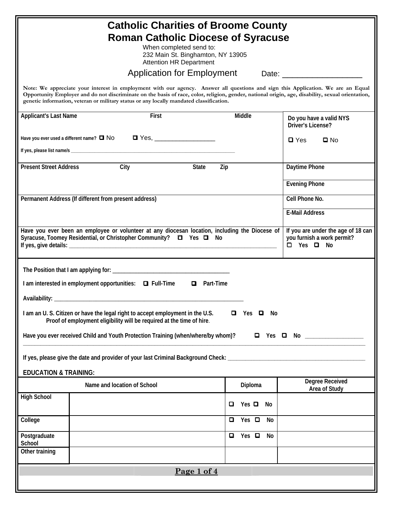| <b>Catholic Charities of Broome County</b><br><b>Roman Catholic Diocese of Syracuse</b><br>When completed send to:<br>232 Main St. Binghamton, NY 13905<br><b>Attention HR Department</b>                                                                                                                                                                                        |                                                                                       |                       |                                                                                             |  |
|----------------------------------------------------------------------------------------------------------------------------------------------------------------------------------------------------------------------------------------------------------------------------------------------------------------------------------------------------------------------------------|---------------------------------------------------------------------------------------|-----------------------|---------------------------------------------------------------------------------------------|--|
| <b>Application for Employment</b>                                                                                                                                                                                                                                                                                                                                                |                                                                                       |                       |                                                                                             |  |
| Note: We appreciate your interest in employment with our agency. Answer all questions and sign this Application. We are an Equal<br>Opportunity Employer and do not discriminate on the basis of race, color, religion, gender, national origin, age, disability, sexual orientation,<br>genetic information, veteran or military status or any locally mandated classification. |                                                                                       |                       |                                                                                             |  |
| <b>Applicant's Last Name</b>                                                                                                                                                                                                                                                                                                                                                     | First                                                                                 | Middle                | Do you have a valid NYS<br>Driver's License?                                                |  |
|                                                                                                                                                                                                                                                                                                                                                                                  | Have you ever used a different name? $\Box$ No $\Box$ Yes, __________________________ |                       | $\square$ Yes<br>$\square$ No                                                               |  |
|                                                                                                                                                                                                                                                                                                                                                                                  |                                                                                       |                       |                                                                                             |  |
| <b>Present Street Address</b>                                                                                                                                                                                                                                                                                                                                                    | City<br>State<br>Zip                                                                  |                       | Daytime Phone                                                                               |  |
|                                                                                                                                                                                                                                                                                                                                                                                  |                                                                                       |                       | <b>Evening Phone</b>                                                                        |  |
|                                                                                                                                                                                                                                                                                                                                                                                  | Permanent Address (If different from present address)                                 |                       | Cell Phone No.                                                                              |  |
|                                                                                                                                                                                                                                                                                                                                                                                  |                                                                                       |                       | <b>E-Mail Address</b>                                                                       |  |
| Have you ever been an employee or volunteer at any diocesan location, including the Diocese of<br>Syracuse, Toomey Residential, or Christopher Community? □ Yes □ No                                                                                                                                                                                                             |                                                                                       |                       | If you are under the age of 18 can<br>you furnish a work permit?<br>$\Box$ Yes $\Box$<br>No |  |
|                                                                                                                                                                                                                                                                                                                                                                                  |                                                                                       |                       |                                                                                             |  |
|                                                                                                                                                                                                                                                                                                                                                                                  | I am interested in employment opportunities: □ Full-Time<br>□ Part-Time               |                       |                                                                                             |  |
| Availability: _                                                                                                                                                                                                                                                                                                                                                                  |                                                                                       |                       |                                                                                             |  |
| I am an U.S. Citizen or have the legal right to accept employment in the U.S.<br>Yes $\Box$ No<br>O.<br>Proof of employment eligibility will be required at the time of hire.                                                                                                                                                                                                    |                                                                                       |                       |                                                                                             |  |
| Have you ever received Child and Youth Protection Training (when/where/by whom)?<br>$\Box$ Yes $\Box$ No _______________                                                                                                                                                                                                                                                         |                                                                                       |                       |                                                                                             |  |
| If yes, please give the date and provider of your last Criminal Background Check: ____________________________                                                                                                                                                                                                                                                                   |                                                                                       |                       |                                                                                             |  |
| <b>EDUCATION &amp; TRAINING:</b>                                                                                                                                                                                                                                                                                                                                                 |                                                                                       |                       |                                                                                             |  |
|                                                                                                                                                                                                                                                                                                                                                                                  | Name and location of School                                                           | Diploma               | <b>Degree Received</b><br>Area of Study                                                     |  |
| <b>High School</b>                                                                                                                                                                                                                                                                                                                                                               |                                                                                       | Yes $\Box$<br>□<br>No |                                                                                             |  |
| College                                                                                                                                                                                                                                                                                                                                                                          |                                                                                       | Yes $\Box$<br>o<br>No |                                                                                             |  |
| Postgraduate<br>School                                                                                                                                                                                                                                                                                                                                                           |                                                                                       | Yes $\Box$<br>o<br>No |                                                                                             |  |
| Other training                                                                                                                                                                                                                                                                                                                                                                   |                                                                                       |                       |                                                                                             |  |
| Page 1 of 4                                                                                                                                                                                                                                                                                                                                                                      |                                                                                       |                       |                                                                                             |  |
|                                                                                                                                                                                                                                                                                                                                                                                  |                                                                                       |                       |                                                                                             |  |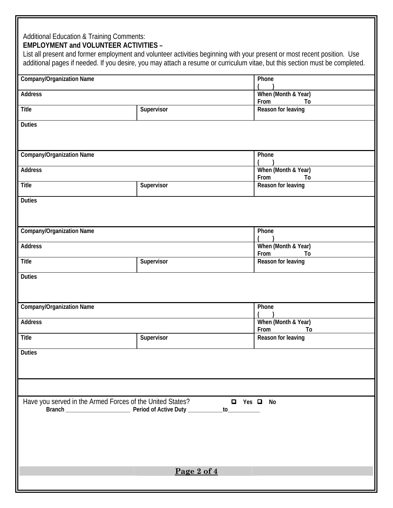## **EMPLOYMENT and VOLUNTEER ACTIVITIES –**

List all present and former employment and volunteer activities beginning with your present or most recent position. Use additional pages if needed. If you desire, you may attach a resume or curriculum vitae, but this section must be completed.

| <b>Company/Organization Name</b>                                                      | Phone                             |                                   |  |  |
|---------------------------------------------------------------------------------------|-----------------------------------|-----------------------------------|--|--|
| Address                                                                               | When (Month & Year)               |                                   |  |  |
|                                                                                       |                                   | From<br>To                        |  |  |
| <b>Title</b>                                                                          | Supervisor                        | Reason for leaving                |  |  |
| <b>Duties</b>                                                                         |                                   |                                   |  |  |
|                                                                                       |                                   |                                   |  |  |
| <b>Company/Organization Name</b>                                                      | Phone                             |                                   |  |  |
| Address                                                                               | When (Month & Year)<br>From<br>To |                                   |  |  |
| <b>Title</b>                                                                          | Supervisor                        | Reason for leaving                |  |  |
| <b>Duties</b>                                                                         |                                   |                                   |  |  |
|                                                                                       |                                   |                                   |  |  |
| <b>Company/Organization Name</b>                                                      |                                   | Phone                             |  |  |
| Address                                                                               |                                   | When (Month & Year)<br>From<br>To |  |  |
| Title                                                                                 | Supervisor                        | Reason for leaving                |  |  |
| <b>Duties</b>                                                                         |                                   |                                   |  |  |
|                                                                                       |                                   |                                   |  |  |
| <b>Company/Organization Name</b>                                                      | Phone                             |                                   |  |  |
| Address                                                                               |                                   | When (Month & Year)<br>From<br>To |  |  |
| <b>Title</b>                                                                          | Supervisor                        | Reason for leaving                |  |  |
| <b>Duties</b>                                                                         |                                   |                                   |  |  |
|                                                                                       |                                   |                                   |  |  |
|                                                                                       |                                   |                                   |  |  |
| Have you served in the Armed Forces of the United States?<br><b>Q</b> Yes <b>Q</b> No |                                   |                                   |  |  |
|                                                                                       |                                   |                                   |  |  |
|                                                                                       |                                   |                                   |  |  |
|                                                                                       |                                   |                                   |  |  |
|                                                                                       |                                   |                                   |  |  |
| Page 2 of 4                                                                           |                                   |                                   |  |  |
|                                                                                       |                                   |                                   |  |  |
|                                                                                       |                                   |                                   |  |  |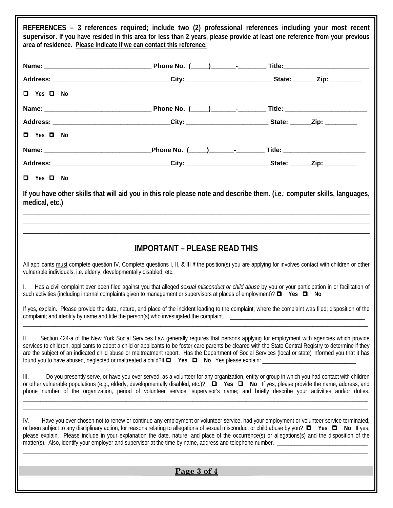**REFERENCES – 3 references required; include two (2) professional references including your most recent supervisor. If you have resided in this area for less than 2 years, please provide at least one reference from your previous area of residence. Please indicate if we can contact this reference. Name: \_\_\_\_\_\_\_\_\_\_\_\_\_\_\_\_\_\_\_\_\_\_\_\_\_\_\_\_\_\_ Phone No. (\_\_\_\_\_)\_\_\_\_\_\_\_-\_\_\_\_\_\_\_\_ Title:\_\_\_\_\_\_\_\_\_\_\_\_\_\_\_\_\_\_\_\_\_\_\_\_ Address: \_\_\_\_\_\_\_\_\_\_\_\_\_\_\_\_\_\_\_\_\_\_\_\_\_\_\_\_\_\_\_\_\_City: \_\_\_\_\_\_\_\_\_\_\_\_\_\_\_\_\_\_\_\_\_\_\_\_ State: \_\_\_\_\_\_ Zip: \_\_\_\_\_\_\_\_\_ Yes No Name: \_\_\_\_\_\_\_\_\_\_\_\_\_\_\_\_\_\_\_\_\_\_\_\_\_\_\_\_\_\_ Phone No. (\_\_\_\_\_)\_\_\_\_\_\_\_-\_\_\_\_\_\_\_\_ Title: \_\_\_\_\_\_\_\_\_\_\_\_\_\_\_\_\_\_\_\_\_\_\_ Address: \_\_\_\_\_\_\_\_\_\_\_\_\_\_\_\_\_\_\_\_\_\_\_\_\_\_\_\_\_\_\_\_\_City: \_\_\_\_\_\_\_\_\_\_\_\_\_\_\_\_\_\_\_\_\_\_\_ State: \_\_\_\_\_\_Zip: \_\_\_\_\_\_\_\_\_ Yes No Name: \_\_\_\_\_\_\_\_\_\_\_\_\_\_\_\_\_\_\_\_\_\_\_\_\_\_\_\_\_\_Phone No. (\_\_\_\_\_)\_\_\_\_\_\_\_-\_\_\_\_\_\_\_\_ Title: \_\_\_\_\_\_\_\_\_\_\_\_\_\_\_\_\_\_\_\_\_\_\_ Address: \_\_\_\_\_\_\_\_\_\_\_\_\_\_\_\_\_\_\_\_\_\_\_\_\_\_\_\_\_\_\_\_\_City: \_\_\_\_\_\_\_\_\_\_\_\_\_\_\_\_\_\_\_\_\_\_\_ State: \_\_\_\_\_\_Zip: \_\_\_\_\_\_\_\_\_ Yes No If you have other skills that will aid you in this role please note and describe them. (i.e.**: **computer skills, languages, medical, etc.)**   $\_$  , and the set of the set of the set of the set of the set of the set of the set of the set of the set of the set of the set of the set of the set of the set of the set of the set of the set of the set of the set of th  $\_$  , and the set of the set of the set of the set of the set of the set of the set of the set of the set of the set of the set of the set of the set of the set of the set of the set of the set of the set of the set of th  $\_$  , and the set of the set of the set of the set of the set of the set of the set of the set of the set of the set of the set of the set of the set of the set of the set of the set of the set of the set of the set of th **IMPORTANT – PLEASE READ THIS**  All applicants must complete question IV. Complete questions I, II, & III if the position(s) you are applying for involves contact with children or other vulnerable individuals, i.e. elderly, developmentally disabled, etc. I. Has a civil complaint ever been filed against you that alleged *sexual misconduct or child abuse* by you or your participation in or facilitation of such activities (including internal complaints given to management or supervisors at places of employment)?  $\Box$  Yes  $\Box$  No If yes, explain. Please provide the date, nature, and place of the incident leading to the complaint; where the complaint was filed; disposition of the complaint; and identify by name and title the person(s) who investigated the complaint. \_\_\_\_\_\_\_\_\_\_\_\_\_\_\_\_\_\_\_\_\_\_\_\_\_\_\_\_\_\_\_\_\_\_\_\_\_\_\_\_\_\_\_\_\_\_\_\_\_\_\_\_\_\_\_\_\_\_\_\_\_\_\_\_\_\_\_\_\_\_\_\_\_\_\_\_\_\_\_\_\_\_\_\_\_\_\_\_\_\_\_\_\_\_\_\_\_\_\_\_\_\_\_\_\_\_\_\_\_\_\_\_\_\_\_\_\_\_ II. Section 424-a of the New York Social Services Law generally requires that persons applying for employment with agencies which provide services to children, applicants to adopt a child or applicants to be foster care parents be cleared with the State Central Registry to determine if they are the subject of an indicated child abuse or maltreatment report. Has the Department of Social Services (local or state) informed you that it has found you to have abused, neglected or maltreated a child?If  $\Box$  Yes  $\Box$  No Yes please explain: III. Do you presently serve, or have you ever served, as a volunteer for any organization, entity or group in which you had contact with children or other vulnerable populations (e.g., elderly, developmentally disabled, etc.)? **Yes No** If yes, please provide the name, address, and phone number of the organization, period of volunteer service, supervisor's name; and briefly describe your activities and/or duties. \_\_\_\_\_\_\_\_\_\_\_\_\_\_\_\_\_\_\_\_\_\_\_\_\_\_\_\_\_\_\_\_\_\_\_\_\_\_\_\_\_\_\_\_\_\_\_\_\_\_\_\_\_\_\_\_\_\_\_\_\_\_\_\_\_\_\_\_\_\_\_\_\_\_\_\_\_\_\_\_\_\_\_\_\_\_\_\_\_\_\_\_\_\_\_\_\_\_\_\_\_\_\_\_\_\_\_\_\_\_\_\_\_\_\_\_\_\_ \_\_\_\_\_\_\_\_\_\_\_\_\_\_\_\_\_\_\_\_\_\_\_\_\_\_\_\_\_\_\_\_\_\_\_\_\_\_\_\_\_\_\_\_\_\_\_\_\_\_\_\_\_\_\_\_\_\_\_\_\_\_\_\_\_\_\_\_\_\_\_\_\_\_\_\_\_\_\_\_\_\_\_\_\_\_\_\_\_\_\_\_\_\_\_\_\_\_\_\_\_\_\_\_\_\_\_\_\_\_\_\_\_\_\_\_\_\_ IV. Have you ever chosen not to renew or continue any employment or volunteer service, had your employment or volunteer service terminated, or been subject to any disciplinary action, for reasons relating to allegations of sexual misconduct or child abuse by you? **Yes No I**f yes, please explain. Please include in your explanation the date, nature, and place of the occurrence(s) or allegations(s) and the disposition of the matter(s). Also, identify your employer and supervisor at the time by name, address and telephone number. \_\_\_\_\_\_\_\_\_\_\_\_\_\_\_\_\_\_\_\_\_\_\_\_\_\_\_\_\_\_\_\_\_\_\_\_\_\_\_\_\_\_\_\_\_\_\_\_\_\_\_\_\_\_\_\_\_\_\_\_\_\_\_\_\_\_\_\_\_\_\_\_\_\_\_\_\_\_\_\_\_\_\_\_\_\_\_\_\_\_\_\_\_\_\_\_\_\_\_\_\_\_\_\_\_\_\_\_\_\_\_\_\_\_\_\_\_\_

**Page 3 of 4**